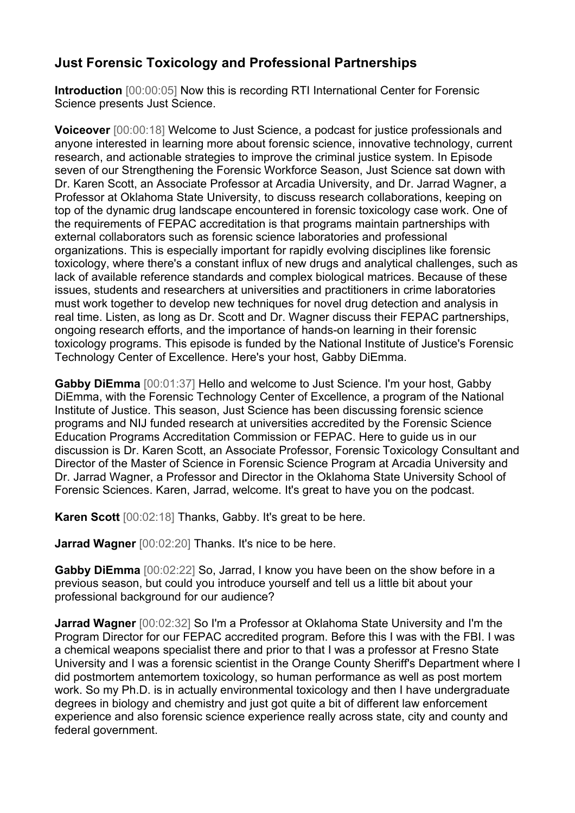## **Just Forensic Toxicology and Professional Partnerships**

**Introduction** [00:00:05] Now this is recording RTI International Center for Forensic Science presents Just Science.

**Voiceover** [00:00:18] Welcome to Just Science, a podcast for justice professionals and anyone interested in learning more about forensic science, innovative technology, current research, and actionable strategies to improve the criminal justice system. In Episode seven of our Strengthening the Forensic Workforce Season, Just Science sat down with Dr. Karen Scott, an Associate Professor at Arcadia University, and Dr. Jarrad Wagner, a Professor at Oklahoma State University, to discuss research collaborations, keeping on top of the dynamic drug landscape encountered in forensic toxicology case work. One of the requirements of FEPAC accreditation is that programs maintain partnerships with external collaborators such as forensic science laboratories and professional organizations. This is especially important for rapidly evolving disciplines like forensic toxicology, where there's a constant influx of new drugs and analytical challenges, such as lack of available reference standards and complex biological matrices. Because of these issues, students and researchers at universities and practitioners in crime laboratories must work together to develop new techniques for novel drug detection and analysis in real time. Listen, as long as Dr. Scott and Dr. Wagner discuss their FEPAC partnerships, ongoing research efforts, and the importance of hands-on learning in their forensic toxicology programs. This episode is funded by the National Institute of Justice's Forensic Technology Center of Excellence. Here's your host, Gabby DiEmma.

**Gabby DiEmma** [00:01:37] Hello and welcome to Just Science. I'm your host, Gabby DiEmma, with the Forensic Technology Center of Excellence, a program of the National Institute of Justice. This season, Just Science has been discussing forensic science programs and NIJ funded research at universities accredited by the Forensic Science Education Programs Accreditation Commission or FEPAC. Here to guide us in our discussion is Dr. Karen Scott, an Associate Professor, Forensic Toxicology Consultant and Director of the Master of Science in Forensic Science Program at Arcadia University and Dr. Jarrad Wagner, a Professor and Director in the Oklahoma State University School of Forensic Sciences. Karen, Jarrad, welcome. It's great to have you on the podcast.

**Karen Scott** [00:02:18] Thanks, Gabby. It's great to be here.

**Jarrad Wagner** [00:02:20] Thanks. It's nice to be here.

**Gabby DiEmma** [00:02:22] So, Jarrad, I know you have been on the show before in a previous season, but could you introduce yourself and tell us a little bit about your professional background for our audience?

**Jarrad Wagner** [00:02:32] So I'm a Professor at Oklahoma State University and I'm the Program Director for our FEPAC accredited program. Before this I was with the FBI. I was a chemical weapons specialist there and prior to that I was a professor at Fresno State University and I was a forensic scientist in the Orange County Sheriff's Department where I did postmortem antemortem toxicology, so human performance as well as post mortem work. So my Ph.D. is in actually environmental toxicology and then I have undergraduate degrees in biology and chemistry and just got quite a bit of different law enforcement experience and also forensic science experience really across state, city and county and federal government.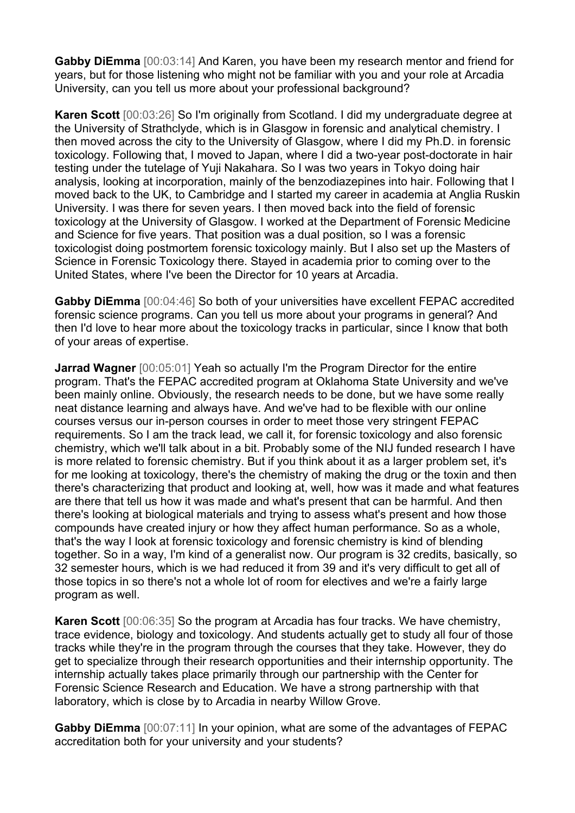**Gabby DiEmma** [00:03:14] And Karen, you have been my research mentor and friend for years, but for those listening who might not be familiar with you and your role at Arcadia University, can you tell us more about your professional background?

**Karen Scott** [00:03:26] So I'm originally from Scotland. I did my undergraduate degree at the University of Strathclyde, which is in Glasgow in forensic and analytical chemistry. I then moved across the city to the University of Glasgow, where I did my Ph.D. in forensic toxicology. Following that, I moved to Japan, where I did a two-year post-doctorate in hair testing under the tutelage of Yuji Nakahara. So I was two years in Tokyo doing hair analysis, looking at incorporation, mainly of the benzodiazepines into hair. Following that I moved back to the UK, to Cambridge and I started my career in academia at Anglia Ruskin University. I was there for seven years. I then moved back into the field of forensic toxicology at the University of Glasgow. I worked at the Department of Forensic Medicine and Science for five years. That position was a dual position, so I was a forensic toxicologist doing postmortem forensic toxicology mainly. But I also set up the Masters of Science in Forensic Toxicology there. Stayed in academia prior to coming over to the United States, where I've been the Director for 10 years at Arcadia.

**Gabby DiEmma** [00:04:46] So both of your universities have excellent FEPAC accredited forensic science programs. Can you tell us more about your programs in general? And then I'd love to hear more about the toxicology tracks in particular, since I know that both of your areas of expertise.

**Jarrad Wagner** [00:05:01] Yeah so actually I'm the Program Director for the entire program. That's the FEPAC accredited program at Oklahoma State University and we've been mainly online. Obviously, the research needs to be done, but we have some really neat distance learning and always have. And we've had to be flexible with our online courses versus our in-person courses in order to meet those very stringent FEPAC requirements. So I am the track lead, we call it, for forensic toxicology and also forensic chemistry, which we'll talk about in a bit. Probably some of the NIJ funded research I have is more related to forensic chemistry. But if you think about it as a larger problem set, it's for me looking at toxicology, there's the chemistry of making the drug or the toxin and then there's characterizing that product and looking at, well, how was it made and what features are there that tell us how it was made and what's present that can be harmful. And then there's looking at biological materials and trying to assess what's present and how those compounds have created injury or how they affect human performance. So as a whole, that's the way I look at forensic toxicology and forensic chemistry is kind of blending together. So in a way, I'm kind of a generalist now. Our program is 32 credits, basically, so 32 semester hours, which is we had reduced it from 39 and it's very difficult to get all of those topics in so there's not a whole lot of room for electives and we're a fairly large program as well.

**Karen Scott** [00:06:35] So the program at Arcadia has four tracks. We have chemistry, trace evidence, biology and toxicology. And students actually get to study all four of those tracks while they're in the program through the courses that they take. However, they do get to specialize through their research opportunities and their internship opportunity. The internship actually takes place primarily through our partnership with the Center for Forensic Science Research and Education. We have a strong partnership with that laboratory, which is close by to Arcadia in nearby Willow Grove.

**Gabby DiEmma** [00:07:11] In your opinion, what are some of the advantages of FEPAC accreditation both for your university and your students?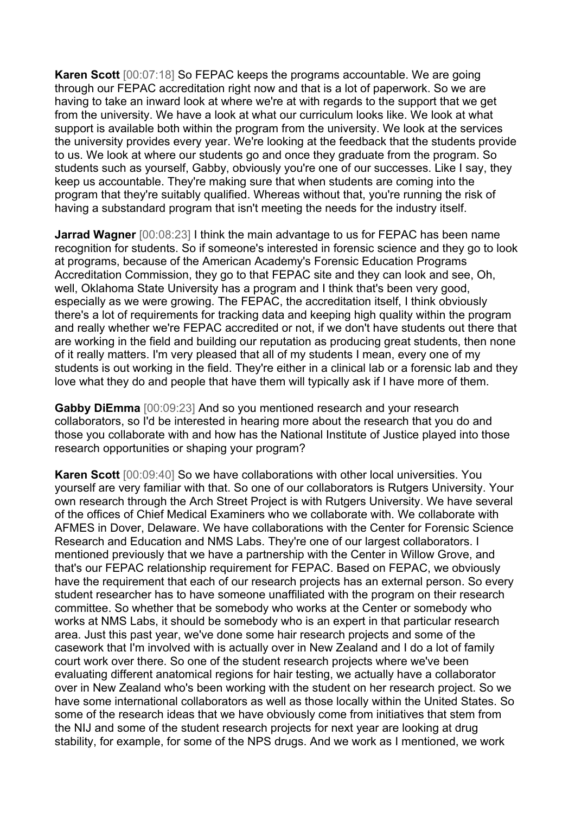**Karen Scott** [00:07:18] So FEPAC keeps the programs accountable. We are going through our FEPAC accreditation right now and that is a lot of paperwork. So we are having to take an inward look at where we're at with regards to the support that we get from the university. We have a look at what our curriculum looks like. We look at what support is available both within the program from the university. We look at the services the university provides every year. We're looking at the feedback that the students provide to us. We look at where our students go and once they graduate from the program. So students such as yourself, Gabby, obviously you're one of our successes. Like I say, they keep us accountable. They're making sure that when students are coming into the program that they're suitably qualified. Whereas without that, you're running the risk of having a substandard program that isn't meeting the needs for the industry itself.

**Jarrad Wagner** [00:08:23] I think the main advantage to us for FEPAC has been name recognition for students. So if someone's interested in forensic science and they go to look at programs, because of the American Academy's Forensic Education Programs Accreditation Commission, they go to that FEPAC site and they can look and see, Oh, well, Oklahoma State University has a program and I think that's been very good, especially as we were growing. The FEPAC, the accreditation itself, I think obviously there's a lot of requirements for tracking data and keeping high quality within the program and really whether we're FEPAC accredited or not, if we don't have students out there that are working in the field and building our reputation as producing great students, then none of it really matters. I'm very pleased that all of my students I mean, every one of my students is out working in the field. They're either in a clinical lab or a forensic lab and they love what they do and people that have them will typically ask if I have more of them.

**Gabby DiEmma** [00:09:23] And so you mentioned research and your research collaborators, so I'd be interested in hearing more about the research that you do and those you collaborate with and how has the National Institute of Justice played into those research opportunities or shaping your program?

**Karen Scott** [00:09:40] So we have collaborations with other local universities. You yourself are very familiar with that. So one of our collaborators is Rutgers University. Your own research through the Arch Street Project is with Rutgers University. We have several of the offices of Chief Medical Examiners who we collaborate with. We collaborate with AFMES in Dover, Delaware. We have collaborations with the Center for Forensic Science Research and Education and NMS Labs. They're one of our largest collaborators. I mentioned previously that we have a partnership with the Center in Willow Grove, and that's our FEPAC relationship requirement for FEPAC. Based on FEPAC, we obviously have the requirement that each of our research projects has an external person. So every student researcher has to have someone unaffiliated with the program on their research committee. So whether that be somebody who works at the Center or somebody who works at NMS Labs, it should be somebody who is an expert in that particular research area. Just this past year, we've done some hair research projects and some of the casework that I'm involved with is actually over in New Zealand and I do a lot of family court work over there. So one of the student research projects where we've been evaluating different anatomical regions for hair testing, we actually have a collaborator over in New Zealand who's been working with the student on her research project. So we have some international collaborators as well as those locally within the United States. So some of the research ideas that we have obviously come from initiatives that stem from the NIJ and some of the student research projects for next year are looking at drug stability, for example, for some of the NPS drugs. And we work as I mentioned, we work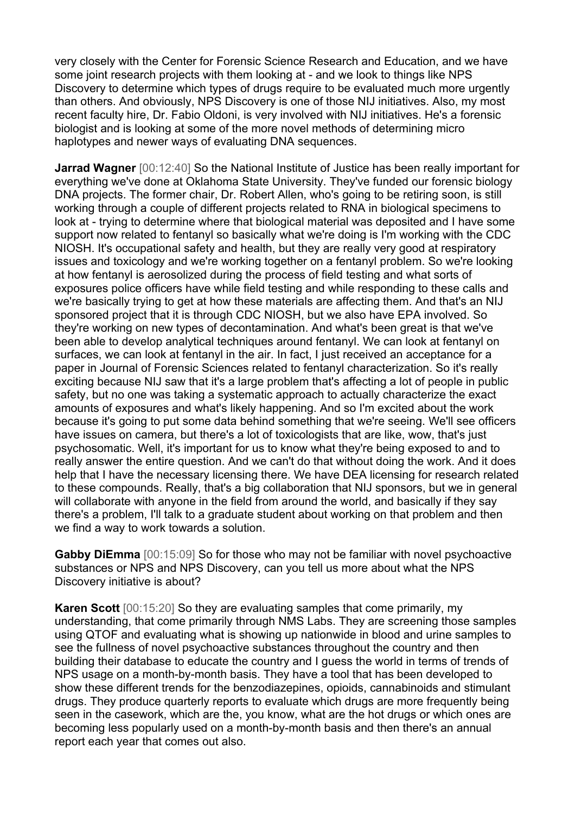very closely with the Center for Forensic Science Research and Education, and we have some joint research projects with them looking at - and we look to things like NPS Discovery to determine which types of drugs require to be evaluated much more urgently than others. And obviously, NPS Discovery is one of those NIJ initiatives. Also, my most recent faculty hire, Dr. Fabio Oldoni, is very involved with NIJ initiatives. He's a forensic biologist and is looking at some of the more novel methods of determining micro haplotypes and newer ways of evaluating DNA sequences.

**Jarrad Wagner** [00:12:40] So the National Institute of Justice has been really important for everything we've done at Oklahoma State University. They've funded our forensic biology DNA projects. The former chair, Dr. Robert Allen, who's going to be retiring soon, is still working through a couple of different projects related to RNA in biological specimens to look at - trying to determine where that biological material was deposited and I have some support now related to fentanyl so basically what we're doing is I'm working with the CDC NIOSH. It's occupational safety and health, but they are really very good at respiratory issues and toxicology and we're working together on a fentanyl problem. So we're looking at how fentanyl is aerosolized during the process of field testing and what sorts of exposures police officers have while field testing and while responding to these calls and we're basically trying to get at how these materials are affecting them. And that's an NIJ sponsored project that it is through CDC NIOSH, but we also have EPA involved. So they're working on new types of decontamination. And what's been great is that we've been able to develop analytical techniques around fentanyl. We can look at fentanyl on surfaces, we can look at fentanyl in the air. In fact, I just received an acceptance for a paper in Journal of Forensic Sciences related to fentanyl characterization. So it's really exciting because NIJ saw that it's a large problem that's affecting a lot of people in public safety, but no one was taking a systematic approach to actually characterize the exact amounts of exposures and what's likely happening. And so I'm excited about the work because it's going to put some data behind something that we're seeing. We'll see officers have issues on camera, but there's a lot of toxicologists that are like, wow, that's just psychosomatic. Well, it's important for us to know what they're being exposed to and to really answer the entire question. And we can't do that without doing the work. And it does help that I have the necessary licensing there. We have DEA licensing for research related to these compounds. Really, that's a big collaboration that NIJ sponsors, but we in general will collaborate with anyone in the field from around the world, and basically if they say there's a problem, I'll talk to a graduate student about working on that problem and then we find a way to work towards a solution.

**Gabby DiEmma** [00:15:09] So for those who may not be familiar with novel psychoactive substances or NPS and NPS Discovery, can you tell us more about what the NPS Discovery initiative is about?

**Karen Scott** [00:15:20] So they are evaluating samples that come primarily, my understanding, that come primarily through NMS Labs. They are screening those samples using QTOF and evaluating what is showing up nationwide in blood and urine samples to see the fullness of novel psychoactive substances throughout the country and then building their database to educate the country and I guess the world in terms of trends of NPS usage on a month-by-month basis. They have a tool that has been developed to show these different trends for the benzodiazepines, opioids, cannabinoids and stimulant drugs. They produce quarterly reports to evaluate which drugs are more frequently being seen in the casework, which are the, you know, what are the hot drugs or which ones are becoming less popularly used on a month-by-month basis and then there's an annual report each year that comes out also.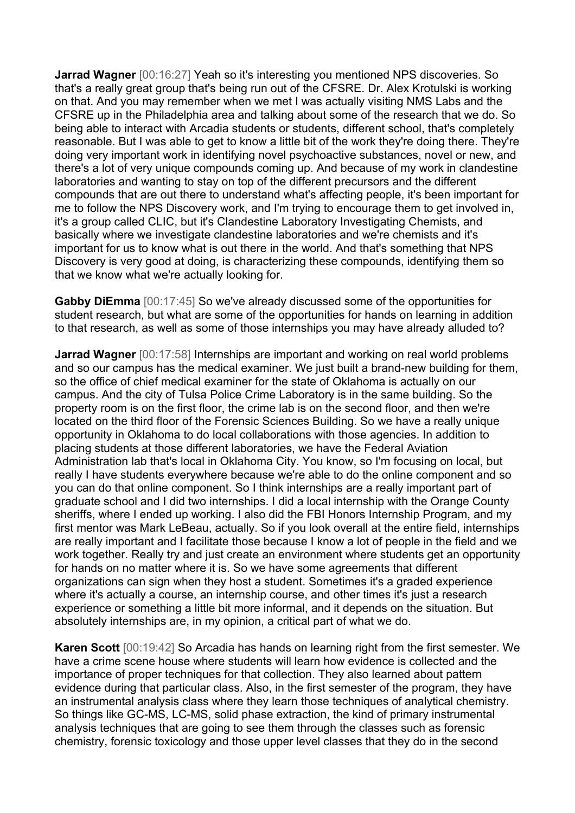**Jarrad Wagner** [00:16:27] Yeah so it's interesting you mentioned NPS discoveries. So that's a really great group that's being run out of the CFSRE. Dr. Alex Krotulski is working on that. And you may remember when we met I was actually visiting NMS Labs and the CFSRE up in the Philadelphia area and talking about some of the research that we do. So being able to interact with Arcadia students or students, different school, that's completely reasonable. But I was able to get to know a little bit of the work they're doing there. They're doing very important work in identifying novel psychoactive substances, novel or new, and there's a lot of very unique compounds coming up. And because of my work in clandestine laboratories and wanting to stay on top of the different precursors and the different compounds that are out there to understand what's affecting people, it's been important for me to follow the NPS Discovery work, and I'm trying to encourage them to get involved in, it's a group called CLIC, but it's Clandestine Laboratory Investigating Chemists, and basically where we investigate clandestine laboratories and we're chemists and it's important for us to know what is out there in the world. And that's something that NPS Discovery is very good at doing, is characterizing these compounds, identifying them so that we know what we're actually looking for.

**Gabby DiEmma** [00:17:45] So we've already discussed some of the opportunities for student research, but what are some of the opportunities for hands on learning in addition to that research, as well as some of those internships you may have already alluded to?

**Jarrad Wagner** [00:17:58] Internships are important and working on real world problems and so our campus has the medical examiner. We just built a brand-new building for them, so the office of chief medical examiner for the state of Oklahoma is actually on our campus. And the city of Tulsa Police Crime Laboratory is in the same building. So the property room is on the first floor, the crime lab is on the second floor, and then we're located on the third floor of the Forensic Sciences Building. So we have a really unique opportunity in Oklahoma to do local collaborations with those agencies. In addition to placing students at those different laboratories, we have the Federal Aviation Administration lab that's local in Oklahoma City. You know, so I'm focusing on local, but really I have students everywhere because we're able to do the online component and so you can do that online component. So I think internships are a really important part of graduate school and I did two internships. I did a local internship with the Orange County sheriffs, where I ended up working. I also did the FBI Honors Internship Program, and my first mentor was Mark LeBeau, actually. So if you look overall at the entire field, internships are really important and I facilitate those because I know a lot of people in the field and we work together. Really try and just create an environment where students get an opportunity for hands on no matter where it is. So we have some agreements that different organizations can sign when they host a student. Sometimes it's a graded experience where it's actually a course, an internship course, and other times it's just a research experience or something a little bit more informal, and it depends on the situation. But absolutely internships are, in my opinion, a critical part of what we do.

**Karen Scott** [00:19:42] So Arcadia has hands on learning right from the first semester. We have a crime scene house where students will learn how evidence is collected and the importance of proper techniques for that collection. They also learned about pattern evidence during that particular class. Also, in the first semester of the program, they have an instrumental analysis class where they learn those techniques of analytical chemistry. So things like GC-MS, LC-MS, solid phase extraction, the kind of primary instrumental analysis techniques that are going to see them through the classes such as forensic chemistry, forensic toxicology and those upper level classes that they do in the second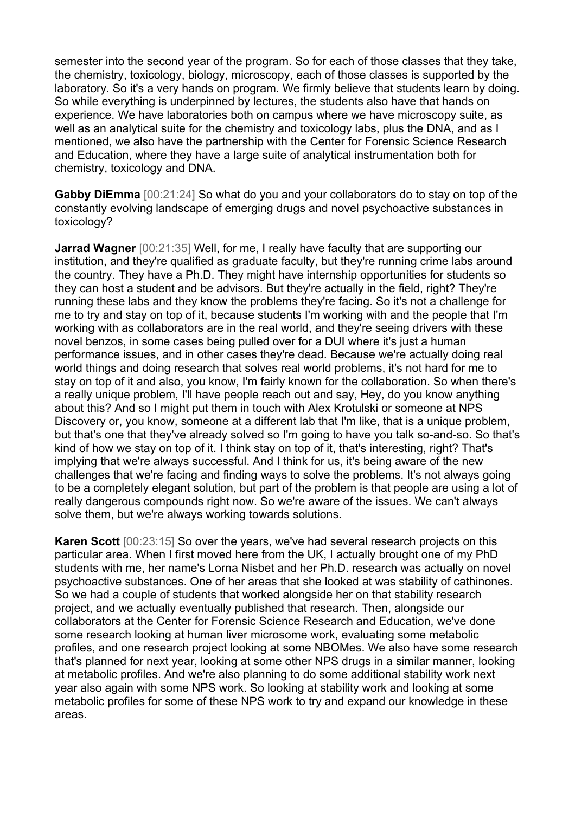semester into the second year of the program. So for each of those classes that they take, the chemistry, toxicology, biology, microscopy, each of those classes is supported by the laboratory. So it's a very hands on program. We firmly believe that students learn by doing. So while everything is underpinned by lectures, the students also have that hands on experience. We have laboratories both on campus where we have microscopy suite, as well as an analytical suite for the chemistry and toxicology labs, plus the DNA, and as I mentioned, we also have the partnership with the Center for Forensic Science Research and Education, where they have a large suite of analytical instrumentation both for chemistry, toxicology and DNA.

**Gabby DiEmma** [00:21:24] So what do you and your collaborators do to stay on top of the constantly evolving landscape of emerging drugs and novel psychoactive substances in toxicology?

**Jarrad Wagner** [00:21:35] Well, for me, I really have faculty that are supporting our institution, and they're qualified as graduate faculty, but they're running crime labs around the country. They have a Ph.D. They might have internship opportunities for students so they can host a student and be advisors. But they're actually in the field, right? They're running these labs and they know the problems they're facing. So it's not a challenge for me to try and stay on top of it, because students I'm working with and the people that I'm working with as collaborators are in the real world, and they're seeing drivers with these novel benzos, in some cases being pulled over for a DUI where it's just a human performance issues, and in other cases they're dead. Because we're actually doing real world things and doing research that solves real world problems, it's not hard for me to stay on top of it and also, you know, I'm fairly known for the collaboration. So when there's a really unique problem, I'll have people reach out and say, Hey, do you know anything about this? And so I might put them in touch with Alex Krotulski or someone at NPS Discovery or, you know, someone at a different lab that I'm like, that is a unique problem, but that's one that they've already solved so I'm going to have you talk so-and-so. So that's kind of how we stay on top of it. I think stay on top of it, that's interesting, right? That's implying that we're always successful. And I think for us, it's being aware of the new challenges that we're facing and finding ways to solve the problems. It's not always going to be a completely elegant solution, but part of the problem is that people are using a lot of really dangerous compounds right now. So we're aware of the issues. We can't always solve them, but we're always working towards solutions.

**Karen Scott** [00:23:15] So over the years, we've had several research projects on this particular area. When I first moved here from the UK, I actually brought one of my PhD students with me, her name's Lorna Nisbet and her Ph.D. research was actually on novel psychoactive substances. One of her areas that she looked at was stability of cathinones. So we had a couple of students that worked alongside her on that stability research project, and we actually eventually published that research. Then, alongside our collaborators at the Center for Forensic Science Research and Education, we've done some research looking at human liver microsome work, evaluating some metabolic profiles, and one research project looking at some NBOMes. We also have some research that's planned for next year, looking at some other NPS drugs in a similar manner, looking at metabolic profiles. And we're also planning to do some additional stability work next year also again with some NPS work. So looking at stability work and looking at some metabolic profiles for some of these NPS work to try and expand our knowledge in these areas.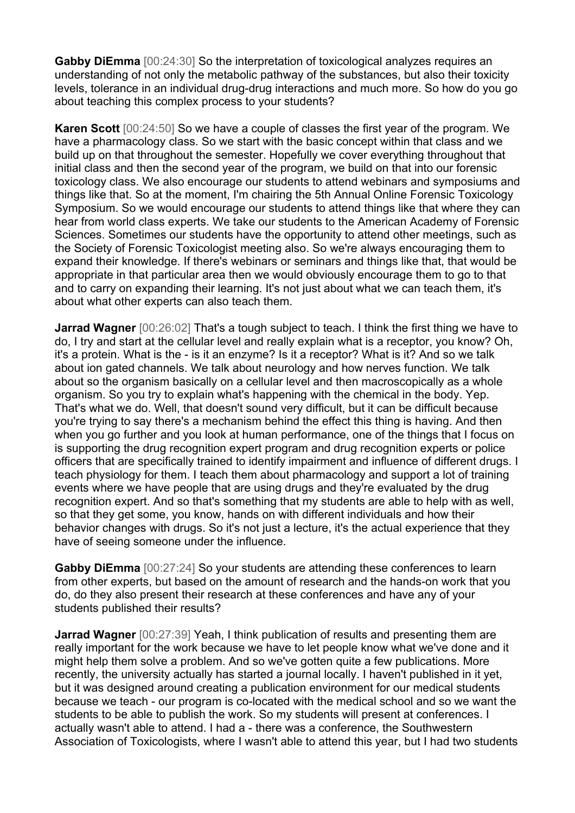**Gabby DiEmma** [00:24:30] So the interpretation of toxicological analyzes requires an understanding of not only the metabolic pathway of the substances, but also their toxicity levels, tolerance in an individual drug-drug interactions and much more. So how do you go about teaching this complex process to your students?

**Karen Scott** [00:24:50] So we have a couple of classes the first year of the program. We have a pharmacology class. So we start with the basic concept within that class and we build up on that throughout the semester. Hopefully we cover everything throughout that initial class and then the second year of the program, we build on that into our forensic toxicology class. We also encourage our students to attend webinars and symposiums and things like that. So at the moment, I'm chairing the 5th Annual Online Forensic Toxicology Symposium. So we would encourage our students to attend things like that where they can hear from world class experts. We take our students to the American Academy of Forensic Sciences. Sometimes our students have the opportunity to attend other meetings, such as the Society of Forensic Toxicologist meeting also. So we're always encouraging them to expand their knowledge. If there's webinars or seminars and things like that, that would be appropriate in that particular area then we would obviously encourage them to go to that and to carry on expanding their learning. It's not just about what we can teach them, it's about what other experts can also teach them.

**Jarrad Wagner** [00:26:02] That's a tough subject to teach. I think the first thing we have to do, I try and start at the cellular level and really explain what is a receptor, you know? Oh, it's a protein. What is the - is it an enzyme? Is it a receptor? What is it? And so we talk about ion gated channels. We talk about neurology and how nerves function. We talk about so the organism basically on a cellular level and then macroscopically as a whole organism. So you try to explain what's happening with the chemical in the body. Yep. That's what we do. Well, that doesn't sound very difficult, but it can be difficult because you're trying to say there's a mechanism behind the effect this thing is having. And then when you go further and you look at human performance, one of the things that I focus on is supporting the drug recognition expert program and drug recognition experts or police officers that are specifically trained to identify impairment and influence of different drugs. I teach physiology for them. I teach them about pharmacology and support a lot of training events where we have people that are using drugs and they're evaluated by the drug recognition expert. And so that's something that my students are able to help with as well, so that they get some, you know, hands on with different individuals and how their behavior changes with drugs. So it's not just a lecture, it's the actual experience that they have of seeing someone under the influence.

**Gabby DiEmma** [00:27:24] So your students are attending these conferences to learn from other experts, but based on the amount of research and the hands-on work that you do, do they also present their research at these conferences and have any of your students published their results?

**Jarrad Wagner** [00:27:39] Yeah, I think publication of results and presenting them are really important for the work because we have to let people know what we've done and it might help them solve a problem. And so we've gotten quite a few publications. More recently, the university actually has started a journal locally. I haven't published in it yet, but it was designed around creating a publication environment for our medical students because we teach - our program is co-located with the medical school and so we want the students to be able to publish the work. So my students will present at conferences. I actually wasn't able to attend. I had a - there was a conference, the Southwestern Association of Toxicologists, where I wasn't able to attend this year, but I had two students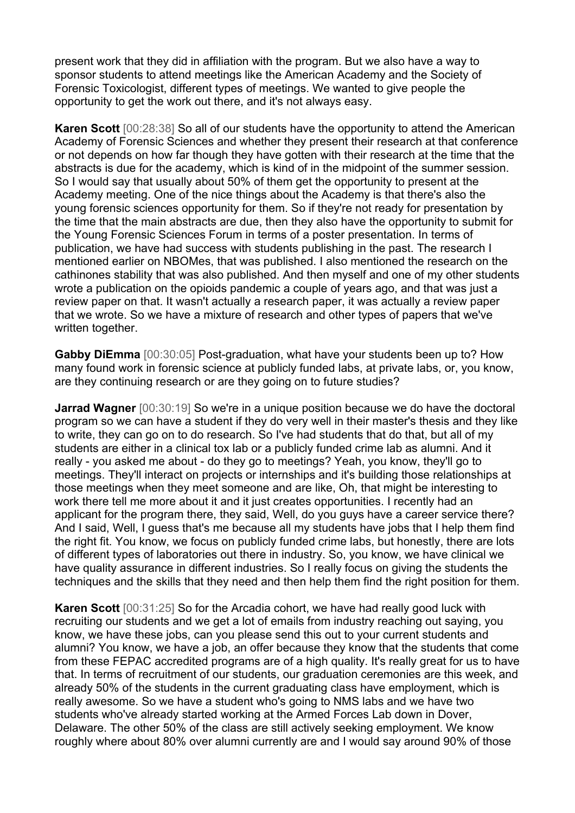present work that they did in affiliation with the program. But we also have a way to sponsor students to attend meetings like the American Academy and the Society of Forensic Toxicologist, different types of meetings. We wanted to give people the opportunity to get the work out there, and it's not always easy.

**Karen Scott** [00:28:38] So all of our students have the opportunity to attend the American Academy of Forensic Sciences and whether they present their research at that conference or not depends on how far though they have gotten with their research at the time that the abstracts is due for the academy, which is kind of in the midpoint of the summer session. So I would say that usually about 50% of them get the opportunity to present at the Academy meeting. One of the nice things about the Academy is that there's also the young forensic sciences opportunity for them. So if they're not ready for presentation by the time that the main abstracts are due, then they also have the opportunity to submit for the Young Forensic Sciences Forum in terms of a poster presentation. In terms of publication, we have had success with students publishing in the past. The research I mentioned earlier on NBOMes, that was published. I also mentioned the research on the cathinones stability that was also published. And then myself and one of my other students wrote a publication on the opioids pandemic a couple of years ago, and that was just a review paper on that. It wasn't actually a research paper, it was actually a review paper that we wrote. So we have a mixture of research and other types of papers that we've written together.

**Gabby DiEmma** [00:30:05] Post-graduation, what have your students been up to? How many found work in forensic science at publicly funded labs, at private labs, or, you know, are they continuing research or are they going on to future studies?

**Jarrad Wagner** [00:30:19] So we're in a unique position because we do have the doctoral program so we can have a student if they do very well in their master's thesis and they like to write, they can go on to do research. So I've had students that do that, but all of my students are either in a clinical tox lab or a publicly funded crime lab as alumni. And it really - you asked me about - do they go to meetings? Yeah, you know, they'll go to meetings. They'll interact on projects or internships and it's building those relationships at those meetings when they meet someone and are like, Oh, that might be interesting to work there tell me more about it and it just creates opportunities. I recently had an applicant for the program there, they said, Well, do you guys have a career service there? And I said, Well, I guess that's me because all my students have jobs that I help them find the right fit. You know, we focus on publicly funded crime labs, but honestly, there are lots of different types of laboratories out there in industry. So, you know, we have clinical we have quality assurance in different industries. So I really focus on giving the students the techniques and the skills that they need and then help them find the right position for them.

**Karen Scott** [00:31:25] So for the Arcadia cohort, we have had really good luck with recruiting our students and we get a lot of emails from industry reaching out saying, you know, we have these jobs, can you please send this out to your current students and alumni? You know, we have a job, an offer because they know that the students that come from these FEPAC accredited programs are of a high quality. It's really great for us to have that. In terms of recruitment of our students, our graduation ceremonies are this week, and already 50% of the students in the current graduating class have employment, which is really awesome. So we have a student who's going to NMS labs and we have two students who've already started working at the Armed Forces Lab down in Dover, Delaware. The other 50% of the class are still actively seeking employment. We know roughly where about 80% over alumni currently are and I would say around 90% of those